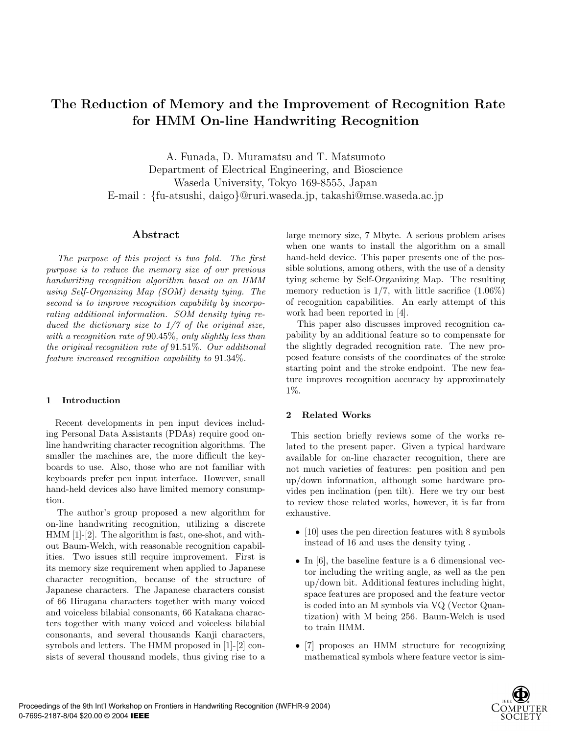# **The Reduction of Memory and the Improvement of Recognition Rate for HMM On-line Handwriting Recognition**

A. Funada, D. Muramatsu and T. Matsumoto Department of Electrical Engineering, and Bioscience Waseda University, Tokyo 169-8555, Japan E-mail : {fu-atsushi, daigo}@ruri.waseda.jp, takashi@mse.waseda.ac.jp

# **Abstract**

*The purpose of this project is two fold. The first purpose is to reduce the memory size of our previous handwriting recognition algorithm based on an HMM using Self-Organizing Map (SOM) density tying. The second is to improve recognition capability by incorporating additional information. SOM density tying reduced the dictionary size to 1/7 of the original size, with a recognition rate of* 90.45%*, only slightly less than the original recognition rate of* 91.51%*. Our additional feature increased recognition capability to* 91.34%*.*

# **1 Introduction**

Recent developments in pen input devices including Personal Data Assistants (PDAs) require good online handwriting character recognition algorithms. The smaller the machines are, the more difficult the keyboards to use. Also, those who are not familiar with keyboards prefer pen input interface. However, small hand-held devices also have limited memory consumption.

The author's group proposed a new algorithm for on-line handwriting recognition, utilizing a discrete HMM [1]-[2]. The algorithm is fast, one-shot, and without Baum-Welch, with reasonable recognition capabilities. Two issues still require improvement. First is its memory size requirement when applied to Japanese character recognition, because of the structure of Japanese characters. The Japanese characters consist of 66 Hiragana characters together with many voiced and voiceless bilabial consonants, 66 Katakana characters together with many voiced and voiceless bilabial consonants, and several thousands Kanji characters, symbols and letters. The HMM proposed in [1]-[2] consists of several thousand models, thus giving rise to a large memory size, 7 Mbyte. A serious problem arises when one wants to install the algorithm on a small hand-held device. This paper presents one of the possible solutions, among others, with the use of a density tying scheme by Self-Organizing Map. The resulting memory reduction is  $1/7$ , with little sacrifice  $(1.06\%)$ of recognition capabilities. An early attempt of this work had been reported in [4].

This paper also discusses improved recognition capability by an additional feature so to compensate for the slightly degraded recognition rate. The new proposed feature consists of the coordinates of the stroke starting point and the stroke endpoint. The new feature improves recognition accuracy by approximately 1%.

# **2 Related Works**

This section briefly reviews some of the works related to the present paper. Given a typical hardware available for on-line character recognition, there are not much varieties of features: pen position and pen up/down information, although some hardware provides pen inclination (pen tilt). Here we try our best to review those related works, however, it is far from exhaustive.

- [10] uses the pen direction features with 8 symbols instead of 16 and uses the density tying .
- In [6], the baseline feature is a 6 dimensional vector including the writing angle, as well as the pen up/down bit. Additional features including hight, space features are proposed and the feature vector is coded into an M symbols via VQ (Vector Quantization) with M being 256. Baum-Welch is used to train HMM.
- [7] proposes an HMM structure for recognizing mathematical symbols where feature vector is sim-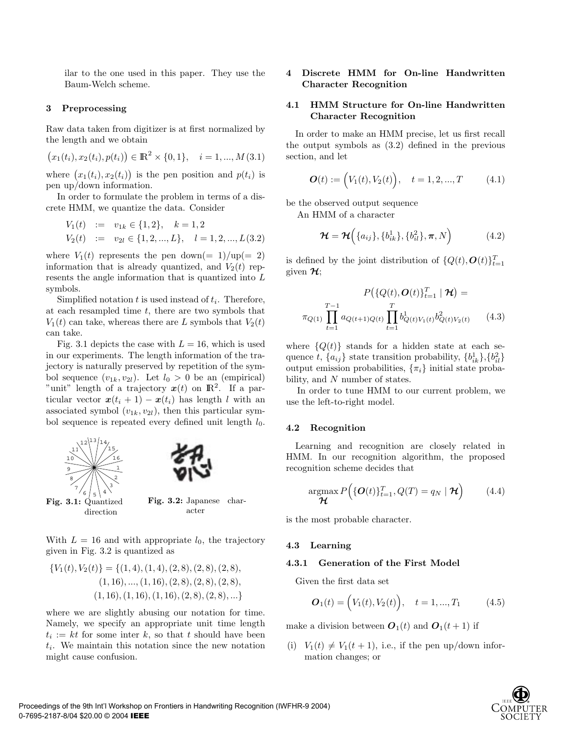ilar to the one used in this paper. They use the Baum-Welch scheme.

## **3 Preprocessing**

Raw data taken from digitizer is at first normalized by the length and we obtain

$$
(x_1(t_i), x_2(t_i), p(t_i)) \in \mathbb{R}^2 \times \{0, 1\}, \quad i = 1, ..., M(3.1)
$$

where  $(x_1(t_i), x_2(t_i))$  is the pen position and  $p(t_i)$  is pen up/down information.

In order to formulate the problem in terms of a discrete HMM, we quantize the data. Consider

$$
V_1(t) := v_{1k} \in \{1, 2\}, \quad k = 1, 2
$$
  

$$
V_2(t) := v_{2l} \in \{1, 2, ..., L\}, \quad l = 1, 2, ..., L(3.2)
$$

where  $V_1(t)$  represents the pen down(= 1)/up(= 2) information that is already quantized, and  $V_2(t)$  represents the angle information that is quantized into L symbols.

Simplified notation  $t$  is used instead of  $t_i$ . Therefore, at each resampled time  $t$ , there are two symbols that  $V_1(t)$  can take, whereas there are L symbols that  $V_2(t)$ can take.

Fig. 3.1 depicts the case with  $L = 16$ , which is used in our experiments. The length information of the trajectory is naturally preserved by repetition of the symbol sequence  $(v_{1k}, v_{2l})$ . Let  $l_0 > 0$  be an (empirical) "unit" length of a trajectory  $x(t)$  on  $\mathbb{R}^2$ . If a particular vector  $x(t_i + 1) - x(t_i)$  has length l with an associated symbol  $(v_{1k}, v_{2l})$ , then this particular symbol sequence is repeated every defined unit length  $l_0$ .



With  $L = 16$  and with appropriate  $l_0$ , the trajectory given in Fig. 3.2 is quantized as

$$
{V_1(t), V_2(t)} = {(1, 4), (1, 4), (2, 8), (2, 8), (2, 8), (3, 8), (1, 16), ..., (1, 16), (2, 8), (2, 8), (2, 8), (1, 16), (1, 16), (2, 8), (2, 8), ...}
$$

where we are slightly abusing our notation for time. Namely, we specify an appropriate unit time length  $t_i := kt$  for some inter k, so that t should have been  $t_i$ . We maintain this notation since the new notation might cause confusion.

# **4 Discrete HMM for On-line Handwritten Character Recognition**

# **4.1 HMM Structure for On-line Handwritten Character Recognition**

In order to make an HMM precise, let us first recall the output symbols as (3.2) defined in the previous section, and let

$$
\boldsymbol{O}(t) := (V_1(t), V_2(t)), \quad t = 1, 2, ..., T \tag{4.1}
$$

be the observed output sequence

An HMM of a character

$$
\mathcal{H} = \mathcal{H}\Big(\{a_{ij}\}, \{b_{ik}^1\}, \{b_{il}^2\}, \boldsymbol{\pi}, N\Big) \tag{4.2}
$$

is defined by the joint distribution of  $\{Q(t), \mathbf{O}(t)\}_{t=1}^T$ given *H*;

$$
P(\{Q(t), \mathbf{O}(t)\}_{t=1}^T | \mathbf{H}) =
$$
  

$$
\pi_{Q(1)} \prod_{t=1}^{T-1} a_{Q(t+1)Q(t)} \prod_{t=1}^T b_{Q(t)V_1(t)}^1 b_{Q(t)V_2(t)}^2 \qquad (4.3)
$$

where  ${Q(t)}$  stands for a hidden state at each sequence t,  ${a_{ij}}$  state transition probability,  ${b_{ik}^1}, {b_{il}^2}$ output emission probabilities,  $\{\pi_i\}$  initial state probability, and N number of states.

In order to tune HMM to our current problem, we use the left-to-right model.

## **4.2 Recognition**

Learning and recognition are closely related in HMM. In our recognition algorithm, the proposed recognition scheme decides that

$$
\underset{\boldsymbol{\mathcal{H}}}{\operatorname{argmax}} P\Big(\{\boldsymbol{O}(t)\}_{t=1}^T, Q(T) = q_N \mid \boldsymbol{\mathcal{H}}\Big) \qquad (4.4)
$$

is the most probable character.

#### **4.3 Learning**

#### **4.3.1 Generation of the First Model**

Given the first data set

$$
\boldsymbol{O}_{1}(t) = (V_{1}(t), V_{2}(t)), \quad t = 1, ..., T_{1}
$$
 (4.5)

make a division between  $\boldsymbol{O}_1(t)$  and  $\boldsymbol{O}_1(t+1)$  if

(i)  $V_1(t) \neq V_1(t+1)$ , i.e., if the pen up/down information changes; or

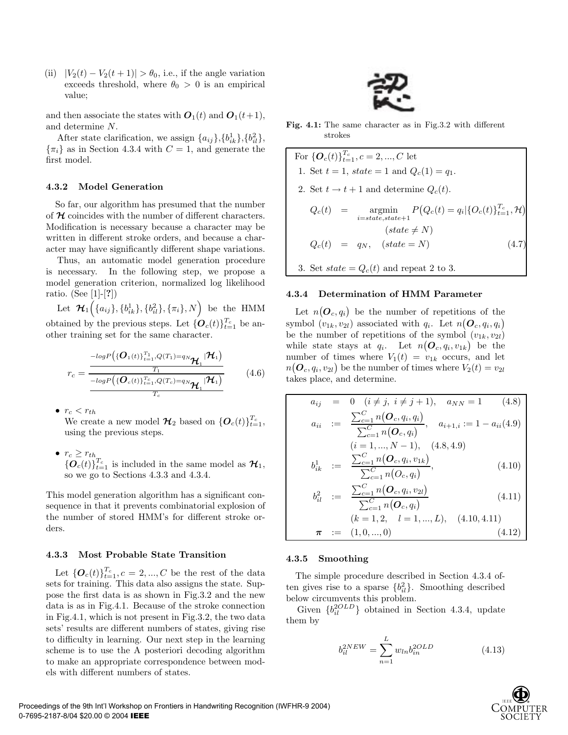(ii)  $|V_2(t) - V_2(t+1)| > \theta_0$ , i.e., if the angle variation exceeds threshold, where  $\theta_0 > 0$  is an empirical value;

and then associate the states with  $O_1(t)$  and  $O_1(t+1)$ , and determine N.

After state clarification, we assign  ${a_{ij}\}, {b_{ik}^1}, {b_{il}^2},$  $\{\pi_i\}$  as in Section 4.3.4 with  $C=1$ , and generate the first model.

#### **4.3.2 Model Generation**

So far, our algorithm has presumed that the number of *H* coincides with the number of different characters. Modification is necessary because a character may be written in different stroke orders, and because a character may have significantly different shape variations.

Thus, an automatic model generation procedure is necessary. In the following step, we propose a model generation criterion, normalized log likelihood ratio. (See [1]-[**?**])

Let  $\mathcal{H}_1\Big(\{a_{ij}\},\{b_{ik}^1\},\{b_{il}^2\},\{\pi_i\},N\Big)$  be the HMM obtained by the previous steps. Let  $\{\boldsymbol{O}_c(t)\}_{t=1}^{T_c}$  be another training set for the same character.

$$
r_c = \frac{\frac{-\log P\left(\left\{O_1(t)\right\}_{t=1}^{T_1}, Q(T_1) = q_N \mathbf{H}_1 | \mathbf{H}_1\right)}{T_1}}{\frac{T_1}{-\log P\left(\left\{O_c(t)\right\}_{t=1}^{T_c}, Q(T_c) = q_N \mathbf{H}_1 | \mathbf{H}_1\right)}}\tag{4.6}
$$

•  $r_c < r_{th}$ 

We create a new model  $\mathcal{H}_2$  based on  $\{O_c(t)\}_{t=1}^{T_c}$ , using the previous steps.

•  $r_c \geq r_{th}$  ${\{{O}_c(t)\}}_{t=1}^{T_c}$  is included in the same model as  $\mathcal{H}_1$ , so we go to Sections 4.3.3 and 4.3.4.

This model generation algorithm has a significant consequence in that it prevents combinatorial explosion of the number of stored HMM's for different stroke orders.

## **4.3.3 Most Probable State Transition**

Let  $\{O_c(t)\}_{t=1}^{T_c}, c = 2, ..., C$  be the rest of the data sets for training. This data also assigns the state. Suppose the first data is as shown in Fig.3.2 and the new data is as in Fig.4.1. Because of the stroke connection in Fig.4.1, which is not present in Fig.3.2, the two data sets' results are different numbers of states, giving rise to difficulty in learning. Our next step in the learning scheme is to use the A posteriori decoding algorithm to make an appropriate correspondence between models with different numbers of states.



**Fig. 4.1:** The same character as in Fig.3.2 with different strokes

For  $\{\boldsymbol{O}_c(t)\}_{t=1}^{T_c}, c = 2, ..., C$  let 1. Set  $t = 1$ , state = 1 and  $Q_c(1) = q_1$ . 2. Set  $t \to t + 1$  and determine  $Q_c(t)$ .  $Q_c(t)$  =  $\underset{i=state, state+1}{\text{argmin}} P(Q_c(t) = q_i | \{O_c(t)\}_{t=1}^{T_c}, \mathcal{H})$  $(state \neq N)$  $Q_c(t) = q_N, \quad (state = N)$  (4.7) 3. Set  $state = Q_c(t)$  and repeat 2 to 3.

#### **4.3.4 Determination of HMM Parameter**

Let  $n(\boldsymbol{O}_c, q_i)$  be the number of repetitions of the symbol  $(v_{1k}, v_{2l})$  associated with  $q_i$ . Let  $n(\boldsymbol{O}_c, q_i, q_i)$ be the number of repetitions of the symbol  $(v_{1k}, v_{2l})$ while state stays at  $q_i$ . Let  $n(\boldsymbol{O}_c, q_i, v_{1k})$  be the number of times where  $V_1(t) = v_{1k}$  occurs, and let  $n(\boldsymbol{O}_c, q_i, v_{2l})$  be the number of times where  $V_2(t) = v_{2l}$ takes place, and determine.

$$
a_{ij} = 0 \quad (i \neq j, i \neq j+1), \quad a_{NN} = 1 \quad (4.8)
$$
\n
$$
a_{ii} := \frac{\sum_{c=1}^{C} n(O_c, q_i, q_i)}{\sum_{c=1}^{C} n(O_c, q_i)}, \quad a_{i+1,i} := 1 - a_{ii}(4.9)
$$
\n
$$
(i = 1, ..., N - 1), \quad (4.8, 4.9)
$$
\n
$$
b_{ik}^{1} := \frac{\sum_{c=1}^{C} n(O_c, q_i, v_{1k})}{\sum_{c=1}^{C} n(O_c, q_i, v_{1k})}, \quad (4.10)
$$

$$
v_{ik} = \sum_{c=1}^{C} n(O_c, q_i) \tag{4.10}
$$
\n
$$
v_{ik} = \sum_{c=1}^{C} n(O_c, q_i, v_{2l}) \tag{4.11}
$$

$$
b_{il}^{2} := \frac{\sum_{c=1}^{C} n(\mathbf{O}_{c}, q_{i})}{\sum_{c=1}^{C} n(\mathbf{O}_{c}, q_{i})}
$$
(4.11)  

$$
(k = 1, 2, \quad l = 1, ..., L), \quad (4.10, 4.11)
$$

$$
\boldsymbol{\pi} := (1, 0, ..., 0) \tag{4.12}
$$

#### **4.3.5 Smoothing**

The simple procedure described in Section 4.3.4 often gives rise to a sparse  ${b_{il}^2}$ . Smoothing described below circumvents this problem.

Given  $\{b_{il}^{2OLD}\}$  obtained in Section 4.3.4, update them by

$$
b_{il}^{2NEW} = \sum_{n=1}^{L} w_{ln} b_{in}^{2OLD}
$$
 (4.13)

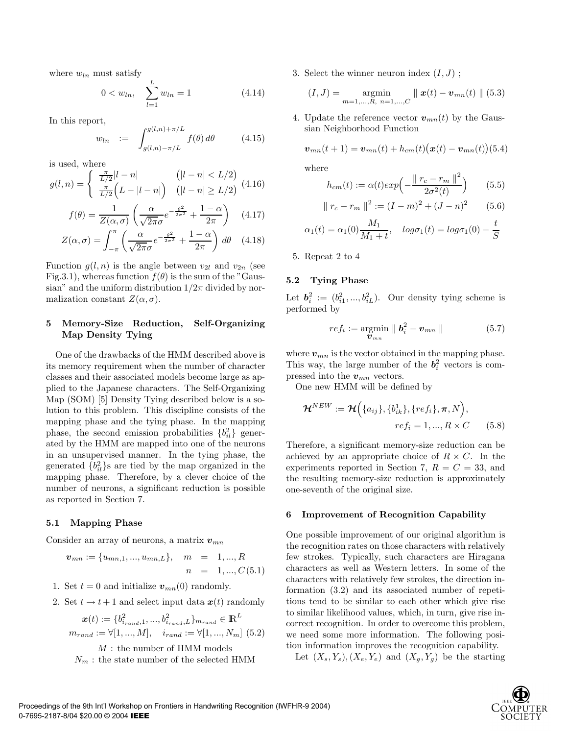where  $w_{ln}$  must satisfy

$$
0 < w_{ln}, \quad \sum_{l=1}^{L} w_{ln} = 1 \tag{4.14}
$$

In this report,

$$
w_{ln} := \int_{g(l,n)-\pi/L}^{g(l,n)+\pi/L} f(\theta) d\theta \qquad (4.15)
$$

is used, where

$$
g(l,n) = \begin{cases} \frac{\pi}{L/2}|l-n| & (|l-n| < L/2) \\ \frac{\pi}{L/2}\left(L-|l-n|\right) & (|l-n| > L/2) \end{cases} (4.16)
$$

$$
f(\theta) = \frac{1}{Z(\alpha, \sigma)} \left( \frac{\alpha}{\sqrt{2\pi}\sigma} e^{-\frac{\theta^2}{2\sigma^2}} + \frac{1-\alpha}{2\pi} \right) \quad (4.17)
$$

$$
Z(\alpha, \sigma) = \int_{-\pi}^{\pi} \left( \frac{\alpha}{\sqrt{2\pi}\sigma} e^{-\frac{\theta^2}{2\sigma^2}} + \frac{1-\alpha}{2\pi} \right) d\theta \quad (4.18)
$$

Function  $g(l, n)$  is the angle between  $v_{2l}$  and  $v_{2n}$  (see Fig.3.1), whereas function  $f(\theta)$  is the sum of the "Gaussian" and the uniform distribution  $1/2\pi$  divided by normalization constant  $Z(\alpha, \sigma)$ .

# **5 Memory-Size Reduction, Self-Organizing Map Density Tying**

One of the drawbacks of the HMM described above is its memory requirement when the number of character classes and their associated models become large as applied to the Japanese characters. The Self-Organizing Map (SOM) [5] Density Tying described below is a solution to this problem. This discipline consists of the mapping phase and the tying phase. In the mapping phase, the second emission probabilities  ${b_{il}^2}$  generated by the HMM are mapped into one of the neurons in an unsupervised manner. In the tying phase, the generated  ${b_{il}^2}$ s are tied by the map organized in the mapping phase. Therefore, by a clever choice of the number of neurons, a significant reduction is possible as reported in Section 7.

#### **5.1 Mapping Phase**

Consider an array of neurons, a matrix  $v_{mn}$ 

 $v_{mn} := \{u_{mn,1},...,u_{mn,L}\}, \quad m = 1,...,R$  $n = 1, ..., C(5.1)$ 

- 1. Set  $t = 0$  and initialize  $v_{mn}(0)$  randomly.
- 2. Set  $t \to t + 1$  and select input data  $x(t)$  randomly

$$
\boldsymbol{x}(t) := \{b_{i_{rand},1}^2, ..., b_{i_{rand},L}^2\}_{m_{rand}} \in \mathbb{R}^L
$$

$$
m_{rand} := \forall [1, ..., M], \quad i_{rand} := \forall [1, ..., N_m] \tag{5.2}
$$

M : the number of HMM models  $N_m$ : the state number of the selected HMM 3. Select the winner neuron index  $(I, J)$ ;

$$
(I, J) = \operatorname*{argmin}_{m=1,\dots,R, n=1,\dots,C} || \mathbf{x}(t) - \mathbf{v}_{mn}(t) || (5.3)
$$

4. Update the reference vector  $v_{mn}(t)$  by the Gaussian Neighborhood Function

$$
\boldsymbol{v}_{mn}(t+1) = \boldsymbol{v}_{mn}(t) + h_{cm}(t) (\boldsymbol{x}(t) - \boldsymbol{v}_{mn}(t)) (5.4)
$$

where

$$
h_{cm}(t) := \alpha(t) exp\left(-\frac{\|r_c - r_m\|^2}{2\sigma^2(t)}\right) \qquad (5.5)
$$

$$
||r_c - r_m||^2 := (I - m)^2 + (J - n)^2
$$
 (5.6)

$$
\alpha_1(t) = \alpha_1(0) \frac{M_1}{M_1 + t}, \quad log \sigma_1(t) = log \sigma_1(0) - \frac{t}{S}
$$

5. Repeat 2 to 4

# **5.2 Tying Phase**

Let  $\mathbf{b}_i^2 := (b_{i1}^2, ..., b_{iL}^2)$ . Our density tying scheme is performed by

$$
ref_i := \underset{\boldsymbol{v}_{mn}}{\operatorname{argmin}} \parallel \boldsymbol{b}_i^2 - \boldsymbol{v}_{mn} \parallel
$$
 (5.7)

where  $v_{mn}$  is the vector obtained in the mapping phase. This way, the large number of the  $b_i^2$  vectors is compressed into the  $v_{mn}$  vectors.

One new HMM will be defined by

$$
\mathcal{H}^{NEW} := \mathcal{H} \Big( \{a_{ij}\}, \{b_{ik}^1\}, \{ref_i\}, \pi, N \Big),
$$
  

$$
ref_i = 1, ..., R \times C \qquad (5.8)
$$

Therefore, a significant memory-size reduction can be achieved by an appropriate choice of  $R \times C$ . In the experiments reported in Section 7,  $R = C = 33$ , and the resulting memory-size reduction is approximately one-seventh of the original size.

#### **6 Improvement of Recognition Capability**

One possible improvement of our original algorithm is the recognition rates on those characters with relatively few strokes. Typically, such characters are Hiragana characters as well as Western letters. In some of the characters with relatively few strokes, the direction information (3.2) and its associated number of repetitions tend to be similar to each other which give rise to similar likelihood values, which, in turn, give rise incorrect recognition. In order to overcome this problem, we need some more information. The following position information improves the recognition capability.

Let  $(X_s, Y_s), (X_e, Y_e)$  and  $(X_g, Y_g)$  be the starting

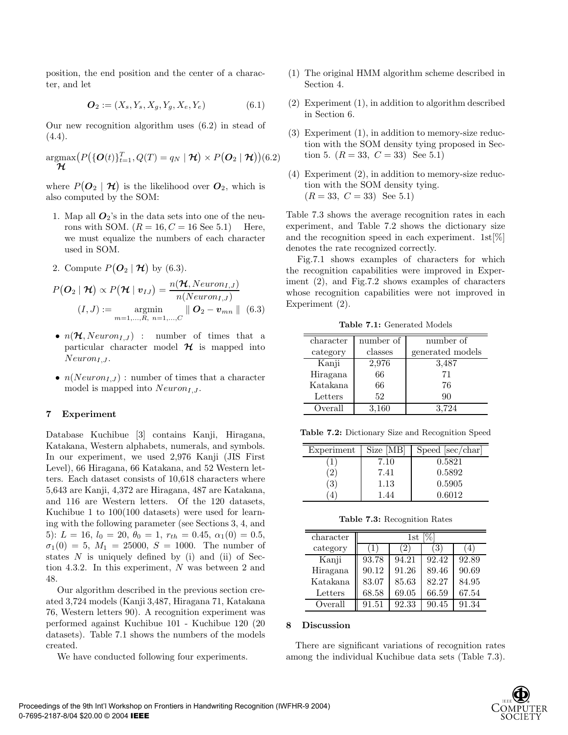position, the end position and the center of a character, and let

$$
\mathbf{O}_2 := (X_s, Y_s, X_g, Y_g, X_e, Y_e) \tag{6.1}
$$

Our new recognition algorithm uses (6.2) in stead of  $(4.4).$ 

$$
\underset{\boldsymbol{\mathcal{H}}}{\text{argmax}}\big(P\big(\{\boldsymbol{O}(t)\}_{t=1}^T, Q(T) = q_N \mid \boldsymbol{\mathcal{H}}\big) \times P\big(\boldsymbol{O}_2 \mid \boldsymbol{\mathcal{H}}\big)\big)(6.2)
$$

where  $P(\mathcal{O}_2 | \mathcal{H})$  is the likelihood over  $\mathcal{O}_2$ , which is also computed by the SOM:

- 1. Map all  $O_2$ 's in the data sets into one of the neurons with SOM.  $(R = 16, C = 16$  See 5.1) Here, we must equalize the numbers of each character used in SOM.
- 2. Compute  $P(O_2 | \mathcal{H})$  by (6.3).

$$
P(\boldsymbol{O}_2 \mid \boldsymbol{\mathcal{H}}) \propto P(\boldsymbol{\mathcal{H}} \mid \boldsymbol{v}_{IJ}) = \frac{n(\boldsymbol{\mathcal{H}}, Neuron_{I,J})}{n(Neuron_{I,J})}
$$
  
(*I*, *J*) := argmin  $\parallel$   $\boldsymbol{O}_2 - \boldsymbol{v}_{mn} \parallel$  (6.3)  

$$
m=1,...,R, n=1,...,C
$$

- $n(\mathcal{H}, Neuron_{I,J})$  : number of times that a particular character model  $\mathcal H$  is mapped into  $Neuron_{I, J}$ .
- $n(Neuron_{I,J})$ : number of times that a character model is mapped into  $Neuron_{I,J}$ .

## **7 Experiment**

Database Kuchibue [3] contains Kanji, Hiragana, Katakana, Western alphabets, numerals, and symbols. In our experiment, we used 2,976 Kanji (JIS First Level), 66 Hiragana, 66 Katakana, and 52 Western letters. Each dataset consists of 10,618 characters where 5,643 are Kanji, 4,372 are Hiragana, 487 are Katakana, and 116 are Western letters. Of the 120 datasets, Kuchibue 1 to 100(100 datasets) were used for learning with the following parameter (see Sections 3, 4, and 5):  $L = 16$ ,  $l_0 = 20$ ,  $\theta_0 = 1$ ,  $r_{th} = 0.45$ ,  $\alpha_1(0) = 0.5$ ,  $\sigma_1(0) = 5, M_1 = 25000, S = 1000.$  The number of states  $N$  is uniquely defined by (i) and (ii) of Section 4.3.2. In this experiment, N was between 2 and 48.

Our algorithm described in the previous section created 3,724 models (Kanji 3,487, Hiragana 71, Katakana 76, Western letters 90). A recognition experiment was performed against Kuchibue 101 - Kuchibue 120 (20 datasets). Table 7.1 shows the numbers of the models created.

We have conducted following four experiments.

- (1) The original HMM algorithm scheme described in Section 4.
- (2) Experiment (1), in addition to algorithm described in Section 6.
- (3) Experiment (1), in addition to memory-size reduction with the SOM density tying proposed in Section 5.  $(R = 33, C = 33)$  See 5.1)
- (4) Experiment (2), in addition to memory-size reduction with the SOM density tying.  $(R = 33, C = 33)$  See 5.1)

Table 7.3 shows the average recognition rates in each experiment, and Table 7.2 shows the dictionary size and the recognition speed in each experiment. 1st[%] denotes the rate recognized correctly.

Fig.7.1 shows examples of characters for which the recognition capabilities were improved in Experiment (2), and Fig.7.2 shows examples of characters whose recognition capabilities were not improved in Experiment (2).

**Table 7.1:** Generated Models

| character | number of | number of        |  |
|-----------|-----------|------------------|--|
| category  | classes   | generated models |  |
| Kanji     | 2,976     | 3.487            |  |
| Hiragana  | 66        | 71               |  |
| Katakana  | 66        | 76               |  |
| Letters   | 52        | 90               |  |
| Overall   | 3.160     | 3.724            |  |

**Table 7.2:** Dictionary Size and Recognition Speed

| Experiment      | Size [MB] | Speed [sec/char] |
|-----------------|-----------|------------------|
| T               | 7.10      | 0.5821           |
| $^{^{\prime}2}$ | 7.41      | 0.5892           |
| (3,             | 1.13      | 0.5905           |
| 4               | 1.44      | 0.6012           |

**Table 7.3:** Recognition Rates

| character | $1\mathrm{st}$ |       |       |       |  |
|-----------|----------------|-------|-------|-------|--|
| category  |                | 21    | (3    | 4     |  |
| Kanji     | 93.78          | 94.21 | 92.42 | 92.89 |  |
| Hiragana  | 90.12          | 91.26 | 89.46 | 90.69 |  |
| Katakana  | 83.07          | 85.63 | 82.27 | 84.95 |  |
| Letters   | 68.58          | 69.05 | 66.59 | 67.54 |  |
| Overall   | 91.51          | 92.33 | 90.45 | 91.34 |  |

## **8 Discussion**

There are significant variations of recognition rates among the individual Kuchibue data sets (Table 7.3).